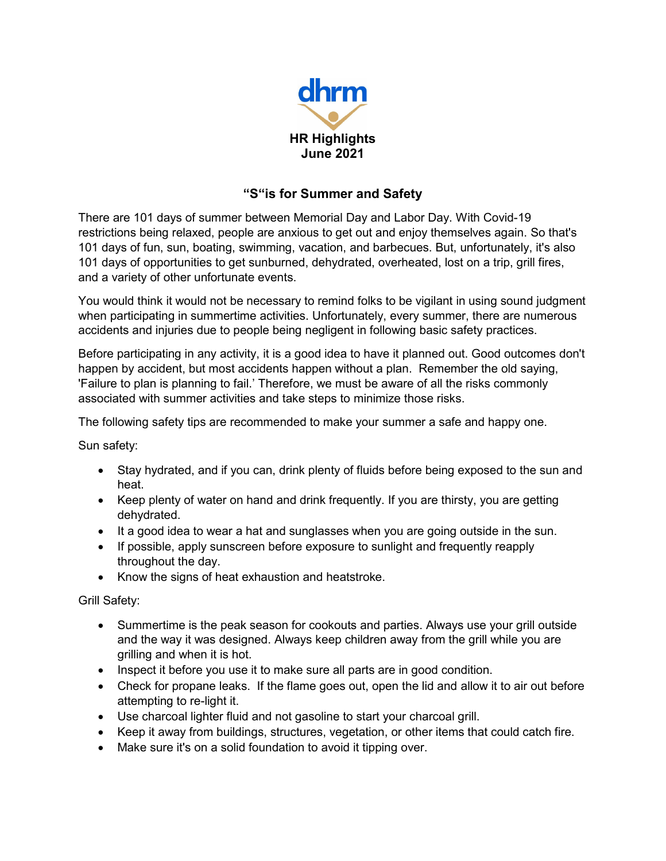

## **"S"is for Summer and Safety**

There are 101 days of summer between Memorial Day and Labor Day. With Covid-19 restrictions being relaxed, people are anxious to get out and enjoy themselves again. So that's 101 days of fun, sun, boating, swimming, vacation, and barbecues. But, unfortunately, it's also 101 days of opportunities to get sunburned, dehydrated, overheated, lost on a trip, grill fires, and a variety of other unfortunate events.

You would think it would not be necessary to remind folks to be vigilant in using sound judgment when participating in summertime activities. Unfortunately, every summer, there are numerous accidents and injuries due to people being negligent in following basic safety practices.

Before participating in any activity, it is a good idea to have it planned out. Good outcomes don't happen by accident, but most accidents happen without a plan. Remember the old saying, 'Failure to plan is planning to fail.' Therefore, we must be aware of all the risks commonly associated with summer activities and take steps to minimize those risks.

The following safety tips are recommended to make your summer a safe and happy one.

Sun safety:

- Stay hydrated, and if you can, drink plenty of fluids before being exposed to the sun and heat.
- Keep plenty of water on hand and drink frequently. If you are thirsty, you are getting dehydrated.
- It a good idea to wear a hat and sunglasses when you are going outside in the sun.
- If possible, apply sunscreen before exposure to sunlight and frequently reapply throughout the day.
- Know the signs of heat exhaustion and heatstroke.

Grill Safety:

- Summertime is the peak season for cookouts and parties. Always use your grill outside and the way it was designed. Always keep children away from the grill while you are grilling and when it is hot.
- Inspect it before you use it to make sure all parts are in good condition.
- Check for propane leaks. If the flame goes out, open the lid and allow it to air out before attempting to re-light it.
- Use charcoal lighter fluid and not gasoline to start your charcoal grill.
- Keep it away from buildings, structures, vegetation, or other items that could catch fire.
- Make sure it's on a solid foundation to avoid it tipping over.